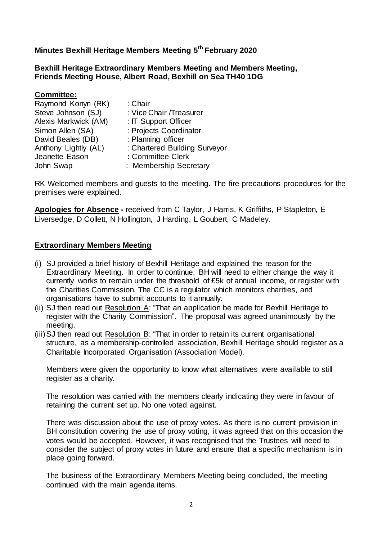**Minutes Bexhill Heritage Members Meeting 5 th February 2020**

**Bexhill Heritage Extraordinary Members Meeting and Members Meeting, Friends Meeting House, Albert Road, Bexhill on Sea TH40 1DG** 

| Committee:           |                               |
|----------------------|-------------------------------|
| Raymond Konyn (RK)   | : Chair                       |
| Steve Johnson (SJ)   | : Vice Chair / Treasurer      |
| Alexis Markwick (AM) | : IT Support Officer          |
| Simon Allen (SA)     | : Projects Coordinator        |
| David Beales (DB)    | : Planning officer            |
| Anthony Lightly (AL) | : Chartered Building Surveyor |
| Jeanette Eason       | : Committee Clerk             |
| John Swap            | : Membership Secretary        |

RK Welcomed members and guests to the meeting. The fire precautions procedures for the premises were explained.

**Apologies for Absence -** received from C Taylor, J Harris, K Griffiths, P Stapleton, E Liversedge, D Collett, N Hollington, J Harding, L Goubert, C Madeley.

#### **Extraordinary Members Meeting**

- (i) SJ provided a brief history of Bexhill Heritage and explained the reason for the Extraordinary Meeting. In order to continue, BH will need to either change the way it currently works to remain under the threshold of £5k of annual income, or register with the Charities Commission. The CC is a regulator which monitors charities, and organisations have to submit accounts to it annually.
- (ii) SJ then read out Resolution A: "That an application be made for Bexhill Heritage to register with the Charity Commission". The proposal was agreed unanimously by the meeting.
- (iii)SJ then read out Resolution B: "That in order to retain its current organisational structure, as a membership-controlled association, Bexhill Heritage should register as a Charitable Incorporated Organisation (Association Model).

Members were given the opportunity to know what alternatives were available to still register as a charity.

The resolution was carried with the members clearly indicating they were in favour of retaining the current set up. No one voted against.

There was discussion about the use of proxy votes. As there is no current provision in BH constitution covering the use of proxy voting, it was agreed that on this occasion the votes would be accepted. However, it was recognised that the Trustees will need to consider the subject of proxy votes in future and ensure that a specific mechanism is in place going forward.

The business of the Extraordinary Members Meeting being concluded, the meeting continued with the main agenda items.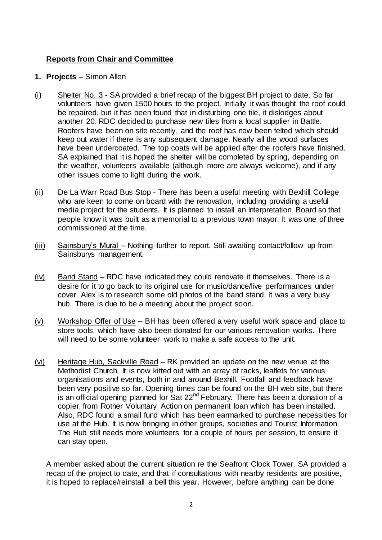# **Reports from Chair and Committee**

- **1. Projects –** Simon Allen
- (i) Shelter No. 3 SA provided a brief recap of the biggest BH project to date. So far volunteers have given 1500 hours to the project. Initially it was thought the roof could be repaired, but it has been found that in disturbing one tile, it dislodges about another 20. RDC decided to purchase new tiles from a local supplier in Battle. Roofers have been on site recently, and the roof has now been felted which should keep out water if there is any subsequent damage. Nearly all the wood surfaces have been undercoated. The top coats will be applied after the roofers have finished. SA explained that it is hoped the shelter will be completed by spring, depending on the weather, volunteers available (although more are always welcome), and if any other issues come to light during the work.
- (ii) De La Warr Road Bus Stop There has been a useful meeting with Bexhill College who are keen to come on board with the renovation, including providing a useful media project for the students. It is planned to install an Interpretation Board so that people know it was built as a memorial to a previous town mayor. It was one of three commissioned at the time.
- (iii) Sainsbury's Mural Nothing further to report. Still awaiting contact/follow up from Sainsburys management.
- $(iv)$  Band Stand RDC have indicated they could renovate it themselves. There is a desire for it to go back to its original use for music/dance/live performances under cover. Alex is to research some old photos of the band stand. It was a very busy hub. There is due to be a meeting about the project soon.
- $(v)$  Workshop Offer of Use BH has been offered a very useful work space and place to store tools, which have also been donated for our various renovation works. There will need to be some volunteer work to make a safe access to the unit.
- (vi) Heritage Hub, Sackville Road RK provided an update on the new venue at the Methodist Church. It is now kitted out with an array of racks, leaflets for various organisations and events, both in and around Bexhill. Footfall and feedback have been very positive so far. Opening times can be found on the BH web site, but there is an official opening planned for Sat  $22<sup>nd</sup>$  February. There has been a donation of a copier, from Rother Voluntary Action on permanent loan which has been installed. Also, RDC found a small fund which has been earmarked to purchase necessities for use at the Hub. It is now bringing in other groups, societies and Tourist Information. The Hub still needs more volunteers for a couple of hours per session, to ensure it can stay open.

A member asked about the current situation re the Seafront Clock Tower. SA provided a recap of the project to date, and that if consultations with nearby residents are positive, it is hoped to replace/reinstall a bell this year. However, before anything can be done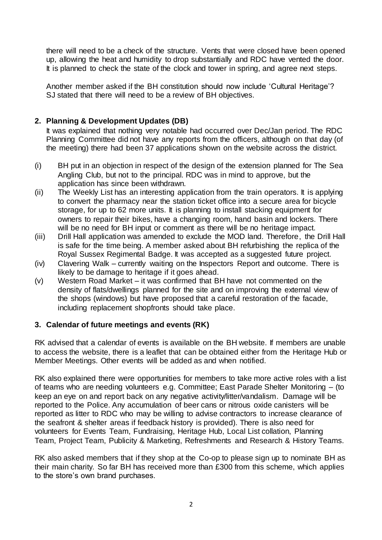there will need to be a check of the structure. Vents that were closed have been opened up, allowing the heat and humidity to drop substantially and RDC have vented the door. It is planned to check the state of the clock and tower in spring, and agree next steps.

Another member asked if the BH constitution should now include 'Cultural Heritage'? SJ stated that there will need to be a review of BH objectives.

# **2. Planning & Development Updates (DB)**

It was explained that nothing very notable had occurred over Dec/Jan period. The RDC Planning Committee did not have any reports from the officers, although on that day (of the meeting) there had been 37 applications shown on the website across the district.

- (i) BH put in an objection in respect of the design of the extension planned for The Sea Angling Club, but not to the principal. RDC was in mind to approve, but the application has since been withdrawn.
- (ii) The Weekly List has an interesting application from the train operators. It is applying to convert the pharmacy near the station ticket office into a secure area for bicycle storage, for up to 62 more units. It is planning to install stacking equipment for owners to repair their bikes, have a changing room, hand basin and lockers. There will be no need for BH input or comment as there will be no heritage impact.
- (iii) Drill Hall application was amended to exclude the MOD land. Therefore, the Drill Hall is safe for the time being. A member asked about BH refurbishing the replica of the Royal Sussex Regimental Badge. It was accepted as a suggested future project.
- (iv) Clavering Walk currently waiting on the Inspectors Report and outcome. There is likely to be damage to heritage if it goes ahead.
- (v) Western Road Market it was confirmed that BH have not commented on the density of flats/dwellings planned for the site and on improving the external view of the shops (windows) but have proposed that a careful restoration of the facade, including replacement shopfronts should take place.

### **3. Calendar of future meetings and events (RK)**

RK advised that a calendar of events is available on the BH website. If members are unable to access the website, there is a leaflet that can be obtained either from the Heritage Hub or Member Meetings. Other events will be added as and when notified.

RK also explained there were opportunities for members to take more active roles with a list of teams who are needing volunteers e.g. Committee; East Parade Shelter Monitoring – (to keep an eye on and report back on any negative activity/litter/vandalism. Damage will be reported to the Police. Any accumulation of beer cans or nitrous oxide canisters will be reported as litter to RDC who may be willing to advise contractors to increase clearance of the seafront & shelter areas if feedback history is provided). There is also need for volunteers for Events Team, Fundraising, Heritage Hub, Local List collation, Planning Team, Project Team, Publicity & Marketing, Refreshments and Research & History Teams.

RK also asked members that if they shop at the Co-op to please sign up to nominate BH as their main charity. So far BH has received more than £300 from this scheme, which applies to the store's own brand purchases.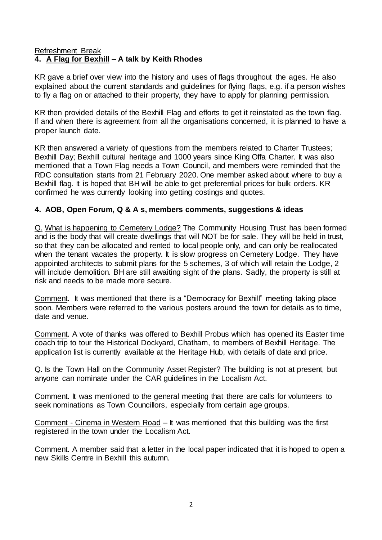#### Refreshment Break **4. A Flag for Bexhill – A talk by Keith Rhodes**

KR gave a brief over view into the history and uses of flags throughout the ages. He also explained about the current standards and guidelines for flying flags, e.g. if a person wishes to fly a flag on or attached to their property, they have to apply for planning permission.

KR then provided details of the Bexhill Flag and efforts to get it reinstated as the town flag. If and when there is agreement from all the organisations concerned, it is planned to have a proper launch date.

KR then answered a variety of questions from the members related to Charter Trustees; Bexhill Day; Bexhill cultural heritage and 1000 years since King Offa Charter. It was also mentioned that a Town Flag needs a Town Council, and members were reminded that the RDC consultation starts from 21 February 2020. One member asked about where to buy a Bexhill flag. It is hoped that BH will be able to get preferential prices for bulk orders. KR confirmed he was currently looking into getting costings and quotes.

#### **4. AOB, Open Forum, Q & A s, members comments, suggestions & ideas**

Q. What is happening to Cemetery Lodge? The Community Housing Trust has been formed and is the body that will create dwellings that will NOT be for sale. They will be held in trust, so that they can be allocated and rented to local people only, and can only be reallocated when the tenant vacates the property. It is slow progress on Cemetery Lodge. They have appointed architects to submit plans for the 5 schemes, 3 of which will retain the Lodge, 2 will include demolition. BH are still awaiting sight of the plans. Sadly, the property is still at risk and needs to be made more secure.

Comment. It was mentioned that there is a "Democracy for Bexhill" meeting taking place soon. Members were referred to the various posters around the town for details as to time, date and venue.

Comment. A vote of thanks was offered to Bexhill Probus which has opened its Easter time coach trip to tour the Historical Dockyard, Chatham, to members of Bexhill Heritage. The application list is currently available at the Heritage Hub, with details of date and price.

Q. Is the Town Hall on the Community Asset Register? The building is not at present, but anyone can nominate under the CAR guidelines in the Localism Act.

Comment. It was mentioned to the general meeting that there are calls for volunteers to seek nominations as Town Councillors, especially from certain age groups.

Comment - Cinema in Western Road – It was mentioned that this building was the first registered in the town under the Localism Act.

Comment. A member said that a letter in the local paper indicated that it is hoped to open a new Skills Centre in Bexhill this autumn.